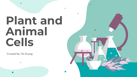# **Plant and Animal Cells**

Created by: Vic Kuang

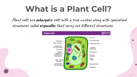## **What is a Plant Cell?**

Plant cells are **eukaryotic** cells with a true nucleus along with specialized structures called **organelles** that carry out different structures.

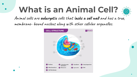# **What is an Animal Cell?**



Animal cells are **eukaryotic** cells that l**acks a cell wall** and has a true, membrane- bound nucleus along with other cellular organelles.

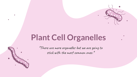#### **Plant Cell Organelles**

**\*There are more organelles but we are going to stick with the most common ones.\***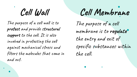**Cell Wall**

The purpose of a cell wall is to **protect** and provide s**tructural support** to the cell. It is also involved in protecting the cell against mechanical stress and filters the molecules that come in and out.

**Cell Membrane**

The purpose of a cell membrane is to **regulate** the entry and exit of specific substances within the cell.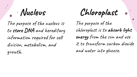The purpose of the nucleus is to **store DNA** and hereditary information required for cell division, metabolism, and growth.

**Nucleus Chloroplast**

The purpose of the chloroplast is to **absorb light energy** from the sun and use it to transform carbon dioxide and water into glucose.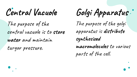The purpose of the central vacuole is to **store water** and maintain turgor pressure.

The purpose of the golgi apparatus is **distribute synthesized Central Vacuole Golgi Apparatus**

**macromolecules** to various

parts of the cell.

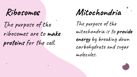#### **Ribosomes**

The purpose of the ribosomes are to **make proteins** for the cell.

**Mitochondria**

The purpose of the mitochondria is to **provide energy** by breaking down carbohydrate and sugar molecules.

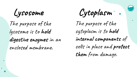The purpose of the lysosome is to **hold digestive enzymes** in an enclosed membrane.

**Lysosome Cytoplasm**

The purpose of the cytoplasm is to **hold internal components** of cells in place and **protect them** from damage.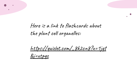Here is a link to flashcards about the plant cell organelles:

[https://quizlet.com/\\_8k2cn8?x=1jqt](https://quizlet.com/_8k2cn8?x=1jqt&i=xtpqz)

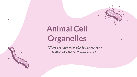# **Animal Cell Organelles**

Ô

**\*There are more organelles but we are going to stick with the most common ones.\***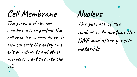The purpose of the cell membrane is to **protect the cell** from its surroundings. It also **controls the entry and exit** of nutrients and other microscopic entities into the cell. **Cell Membrane Nucleus**

The purpose of the nucleus is to **contain the DNA** and other genetic materials.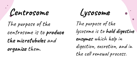**Centrosome Lysosome**

The purpose of the centrosome is to **produce the microtubules** and **organize** them.

The purpose of the lysosome is to **hold digestive enzymes** which help in digestion, excretion, and in the cell renewal process.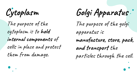The purpose of the cytoplasm is to **hold internal components** of cells in place and protect them from damage.

The purpose of the golgi apparatus is **manufacture, store, pack, and transport** the particles through the cell. **Cytoplasm Golgi Apparatus**

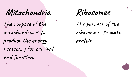#### **Mitochondria**

The purpose of the mitochondria is to **produce the energy**  necessary for survival and function.

# **Ribosomes**

The purpose of the ribosome is to **make protein**.

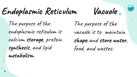**Endoplasmic Reticulum Vacuole**



The purpose of the endoplasmic reticulum is calcium **storage**, protein **synthesis**, and lipid **metabolism**.

The purpose of the vacuole is to maintain **shape** and **store water**, food, and wastes.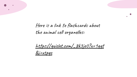

[https://quizlet.com/\\_8k3je0?x=1qqt](https://quizlet.com/_8k3je0?x=1qqt&i=xtpqz)

[&i=xtpqz](https://quizlet.com/_8k3je0?x=1qqt&i=xtpqz)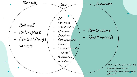